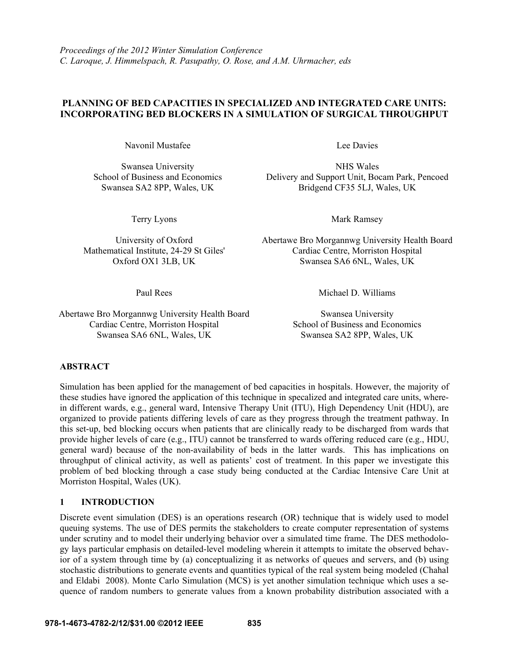## **PLANNING OF BED CAPACITIES IN SPECIALIZED AND INTEGRATED CARE UNITS: INCORPORATING BED BLOCKERS IN A SIMULATION OF SURGICAL THROUGHPUT**

Navonil Mustafee Lee Davies

Swansea University NHS Wales School of Business and Economics Delivery and Support Unit, Bocam Park, Pencoed<br>Swansea SA2 8PP, Wales, UK<br>Bridgend CF35 5LJ, Wales, UK Bridgend CF35 5LJ, Wales, UK

Mathematical Institute, 24-29 St Giles'

Abertawe Bro Morgannwg University Health Board Swansea University Cardiac Centre, Morriston Hospital School of Business and Economics<br>Swansea SA6 6NL, Wales, UK<br>Swansea SA2 8PP, Wales, UK Swansea SA6 6NL, Wales, UK

Terry Lyons Mark Ramsey

University of Oxford<br>Abertawe Bro Morgannwg University Health Board<br>Cardiac Centre, Morriston Hospital<br>Abertawe Bro Morgannwg University Health Board Oxford OX1 3LB, UK Swansea SA6 6NL, Wales, UK

Paul Rees Michael D. Williams

# **ABSTRACT**

Simulation has been applied for the management of bed capacities in hospitals. However, the majority of these studies have ignored the application of this technique in specalized and integrated care units, wherein different wards, e.g., general ward, Intensive Therapy Unit (ITU), High Dependency Unit (HDU), are organized to provide patients differing levels of care as they progress through the treatment pathway. In this set-up, bed blocking occurs when patients that are clinically ready to be discharged from wards that provide higher levels of care (e.g., ITU) cannot be transferred to wards offering reduced care (e.g., HDU, general ward) because of the non-availability of beds in the latter wards. This has implications on throughput of clinical activity, as well as patients' cost of treatment. In this paper we investigate this problem of bed blocking through a case study being conducted at the Cardiac Intensive Care Unit at Morriston Hospital, Wales (UK).

# **1 INTRODUCTION**

Discrete event simulation (DES) is an operations research (OR) technique that is widely used to model queuing systems. The use of DES permits the stakeholders to create computer representation of systems under scrutiny and to model their underlying behavior over a simulated time frame. The DES methodology lays particular emphasis on detailed-level modeling wherein it attempts to imitate the observed behavior of a system through time by (a) conceptualizing it as networks of queues and servers, and (b) using stochastic distributions to generate events and quantities typical of the real system being modeled (Chahal and Eldabi 2008). Monte Carlo Simulation (MCS) is yet another simulation technique which uses a sequence of random numbers to generate values from a known probability distribution associated with a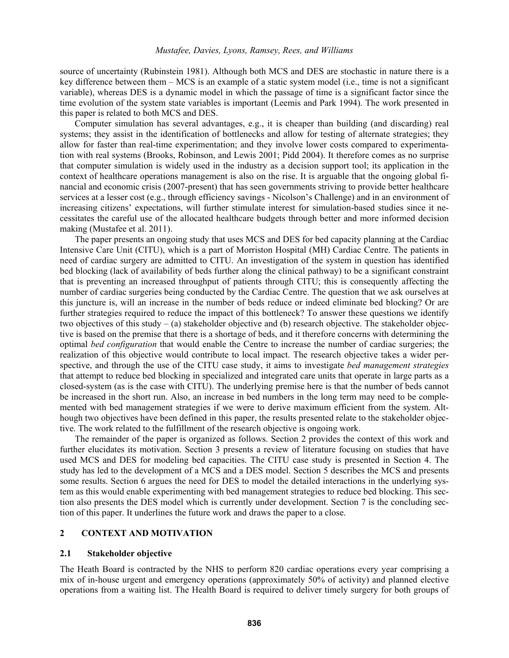source of uncertainty (Rubinstein 1981). Although both MCS and DES are stochastic in nature there is a key difference between them – MCS is an example of a static system model (i.e., time is not a significant variable), whereas DES is a dynamic model in which the passage of time is a significant factor since the time evolution of the system state variables is important (Leemis and Park 1994). The work presented in this paper is related to both MCS and DES.

Computer simulation has several advantages, e.g., it is cheaper than building (and discarding) real systems; they assist in the identification of bottlenecks and allow for testing of alternate strategies; they allow for faster than real-time experimentation; and they involve lower costs compared to experimentation with real systems (Brooks, Robinson, and Lewis 2001; Pidd 2004). It therefore comes as no surprise that computer simulation is widely used in the industry as a decision support tool; its application in the context of healthcare operations management is also on the rise. It is arguable that the ongoing global financial and economic crisis (2007-present) that has seen governments striving to provide better healthcare services at a lesser cost (e.g., through efficiency savings - Nicolson's Challenge) and in an environment of increasing citizens' expectations, will further stimulate interest for simulation-based studies since it necessitates the careful use of the allocated healthcare budgets through better and more informed decision making (Mustafee et al. 2011).

The paper presents an ongoing study that uses MCS and DES for bed capacity planning at the Cardiac Intensive Care Unit (CITU), which is a part of Morriston Hospital (MH) Cardiac Centre. The patients in need of cardiac surgery are admitted to CITU. An investigation of the system in question has identified bed blocking (lack of availability of beds further along the clinical pathway) to be a significant constraint that is preventing an increased throughput of patients through CITU; this is consequently affecting the number of cardiac surgeries being conducted by the Cardiac Centre. The question that we ask ourselves at this juncture is, will an increase in the number of beds reduce or indeed eliminate bed blocking? Or are further strategies required to reduce the impact of this bottleneck? To answer these questions we identify two objectives of this study – (a) stakeholder objective and (b) research objective. The stakeholder objective is based on the premise that there is a shortage of beds, and it therefore concerns with determining the optimal *bed configuration* that would enable the Centre to increase the number of cardiac surgeries; the realization of this objective would contribute to local impact. The research objective takes a wider perspective, and through the use of the CITU case study, it aims to investigate *bed management strategies* that attempt to reduce bed blocking in specialized and integrated care units that operate in large parts as a closed-system (as is the case with CITU). The underlying premise here is that the number of beds cannot be increased in the short run. Also, an increase in bed numbers in the long term may need to be complemented with bed management strategies if we were to derive maximum efficient from the system. Although two objectives have been defined in this paper, the results presented relate to the stakeholder objective. The work related to the fulfillment of the research objective is ongoing work.

The remainder of the paper is organized as follows. Section 2 provides the context of this work and further elucidates its motivation. Section 3 presents a review of literature focusing on studies that have used MCS and DES for modeling bed capacities. The CITU case study is presented in Section 4. The study has led to the development of a MCS and a DES model. Section 5 describes the MCS and presents some results. Section 6 argues the need for DES to model the detailed interactions in the underlying system as this would enable experimenting with bed management strategies to reduce bed blocking. This section also presents the DES model which is currently under development. Section 7 is the concluding section of this paper. It underlines the future work and draws the paper to a close.

### **2 CONTEXT AND MOTIVATION**

### **2.1 Stakeholder objective**

The Heath Board is contracted by the NHS to perform 820 cardiac operations every year comprising a mix of in-house urgent and emergency operations (approximately 50% of activity) and planned elective operations from a waiting list. The Health Board is required to deliver timely surgery for both groups of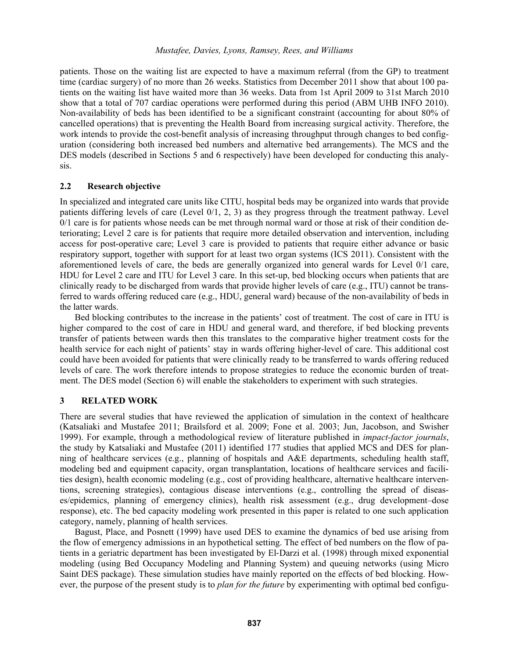patients. Those on the waiting list are expected to have a maximum referral (from the GP) to treatment time (cardiac surgery) of no more than 26 weeks. Statistics from December 2011 show that about 100 patients on the waiting list have waited more than 36 weeks. Data from 1st April 2009 to 31st March 2010 show that a total of 707 cardiac operations were performed during this period (ABM UHB INFO 2010). Non-availability of beds has been identified to be a significant constraint (accounting for about 80% of cancelled operations) that is preventing the Health Board from increasing surgical activity. Therefore, the work intends to provide the cost-benefit analysis of increasing throughput through changes to bed configuration (considering both increased bed numbers and alternative bed arrangements). The MCS and the DES models (described in Sections 5 and 6 respectively) have been developed for conducting this analysis.

#### **2.2 Research objective**

In specialized and integrated care units like CITU, hospital beds may be organized into wards that provide patients differing levels of care (Level 0/1, 2, 3) as they progress through the treatment pathway. Level 0/1 care is for patients whose needs can be met through normal ward or those at risk of their condition deteriorating; Level 2 care is for patients that require more detailed observation and intervention, including access for post-operative care; Level 3 care is provided to patients that require either advance or basic respiratory support, together with support for at least two organ systems (ICS 2011). Consistent with the aforementioned levels of care, the beds are generally organized into general wards for Level 0/1 care, HDU for Level 2 care and ITU for Level 3 care. In this set-up, bed blocking occurs when patients that are clinically ready to be discharged from wards that provide higher levels of care (e.g., ITU) cannot be transferred to wards offering reduced care (e.g., HDU, general ward) because of the non-availability of beds in the latter wards.

Bed blocking contributes to the increase in the patients' cost of treatment. The cost of care in ITU is higher compared to the cost of care in HDU and general ward, and therefore, if bed blocking prevents transfer of patients between wards then this translates to the comparative higher treatment costs for the health service for each night of patients' stay in wards offering higher-level of care. This additional cost could have been avoided for patients that were clinically ready to be transferred to wards offering reduced levels of care. The work therefore intends to propose strategies to reduce the economic burden of treatment. The DES model (Section 6) will enable the stakeholders to experiment with such strategies.

#### **3 RELATED WORK**

There are several studies that have reviewed the application of simulation in the context of healthcare (Katsaliaki and Mustafee 2011; Brailsford et al. 2009; Fone et al. 2003; Jun, Jacobson, and Swisher 1999). For example, through a methodological review of literature published in *impact-factor journals*, the study by Katsaliaki and Mustafee (2011) identified 177 studies that applied MCS and DES for planning of healthcare services (e.g., planning of hospitals and A&E departments, scheduling health staff, modeling bed and equipment capacity, organ transplantation, locations of healthcare services and facilities design), health economic modeling (e.g., cost of providing healthcare, alternative healthcare interventions, screening strategies), contagious disease interventions (e.g., controlling the spread of diseases/epidemics, planning of emergency clinics), health risk assessment (e.g., drug development–dose response), etc. The bed capacity modeling work presented in this paper is related to one such application category, namely, planning of health services.

Bagust, Place, and Posnett (1999) have used DES to examine the dynamics of bed use arising from the flow of emergency admissions in an hypothetical setting. The effect of bed numbers on the flow of patients in a geriatric department has been investigated by El‐Darzi et al. (1998) through mixed exponential modeling (using Bed Occupancy Modeling and Planning System) and queuing networks (using Micro Saint DES package). These simulation studies have mainly reported on the effects of bed blocking. However, the purpose of the present study is to *plan for the future* by experimenting with optimal bed configu-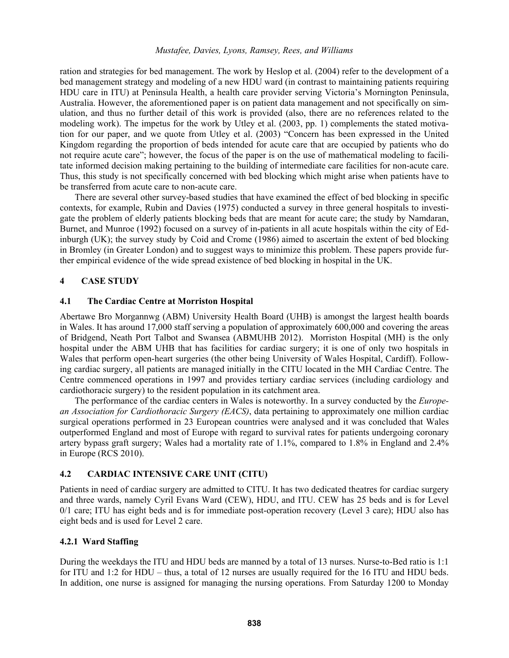ration and strategies for bed management. The work by Heslop et al. (2004) refer to the development of a bed management strategy and modeling of a new HDU ward (in contrast to maintaining patients requiring HDU care in ITU) at Peninsula Health, a health care provider serving Victoria's Mornington Peninsula, Australia. However, the aforementioned paper is on patient data management and not specifically on simulation, and thus no further detail of this work is provided (also, there are no references related to the modeling work). The impetus for the work by Utley et al. (2003, pp. 1) complements the stated motivation for our paper, and we quote from Utley et al. (2003) "Concern has been expressed in the United Kingdom regarding the proportion of beds intended for acute care that are occupied by patients who do not require acute care"; however, the focus of the paper is on the use of mathematical modeling to facilitate informed decision making pertaining to the building of intermediate care facilities for non-acute care. Thus, this study is not specifically concerned with bed blocking which might arise when patients have to be transferred from acute care to non-acute care.

There are several other survey-based studies that have examined the effect of bed blocking in specific contexts, for example, Rubin and Davies (1975) conducted a survey in three general hospitals to investigate the problem of elderly patients blocking beds that are meant for acute care; the study by Namdaran, Burnet, and Munroe (1992) focused on a survey of in-patients in all acute hospitals within the city of Edinburgh (UK); the survey study by Coid and Crome (1986) aimed to ascertain the extent of bed blocking in Bromley (in Greater London) and to suggest ways to minimize this problem. These papers provide further empirical evidence of the wide spread existence of bed blocking in hospital in the UK.

## **4 CASE STUDY**

## **4.1 The Cardiac Centre at Morriston Hospital**

Abertawe Bro Morgannwg (ABM) University Health Board (UHB) is amongst the largest health boards in Wales. It has around 17,000 staff serving a population of approximately 600,000 and covering the areas of Bridgend, Neath Port Talbot and Swansea (ABMUHB 2012). Morriston Hospital (MH) is the only hospital under the ABM UHB that has facilities for cardiac surgery; it is one of only two hospitals in Wales that perform open-heart surgeries (the other being University of Wales Hospital, Cardiff). Following cardiac surgery, all patients are managed initially in the CITU located in the MH Cardiac Centre. The Centre commenced operations in 1997 and provides tertiary cardiac services (including cardiology and cardiothoracic surgery) to the resident population in its catchment area.

The performance of the cardiac centers in Wales is noteworthy. In a survey conducted by the *European Association for Cardiothoracic Surgery (EACS)*, data pertaining to approximately one million cardiac surgical operations performed in 23 European countries were analysed and it was concluded that Wales outperformed England and most of Europe with regard to survival rates for patients undergoing coronary artery bypass graft surgery; Wales had a mortality rate of 1.1%, compared to 1.8% in England and 2.4% in Europe (RCS 2010).

## **4.2 CARDIAC INTENSIVE CARE UNIT (CITU)**

Patients in need of cardiac surgery are admitted to CITU. It has two dedicated theatres for cardiac surgery and three wards, namely Cyril Evans Ward (CEW), HDU, and ITU. CEW has 25 beds and is for Level 0/1 care; ITU has eight beds and is for immediate post-operation recovery (Level 3 care); HDU also has eight beds and is used for Level 2 care.

## **4.2.1 Ward Staffing**

During the weekdays the ITU and HDU beds are manned by a total of 13 nurses. Nurse-to-Bed ratio is 1:1 for ITU and 1:2 for HDU – thus, a total of 12 nurses are usually required for the 16 ITU and HDU beds. In addition, one nurse is assigned for managing the nursing operations. From Saturday 1200 to Monday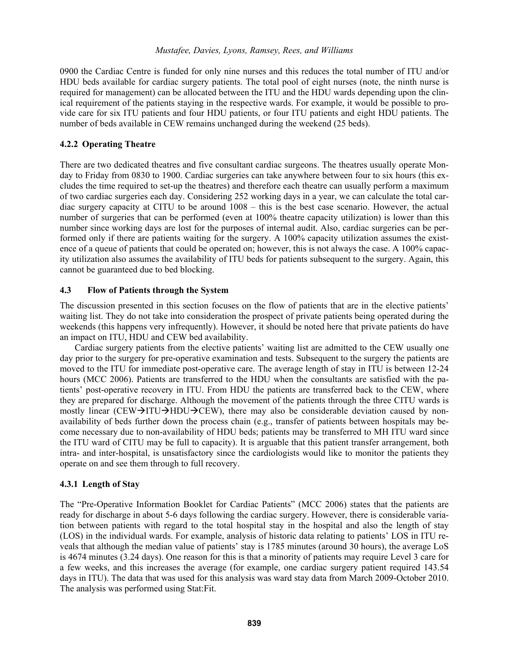0900 the Cardiac Centre is funded for only nine nurses and this reduces the total number of ITU and/or HDU beds available for cardiac surgery patients. The total pool of eight nurses (note, the ninth nurse is required for management) can be allocated between the ITU and the HDU wards depending upon the clinical requirement of the patients staying in the respective wards. For example, it would be possible to provide care for six ITU patients and four HDU patients, or four ITU patients and eight HDU patients. The number of beds available in CEW remains unchanged during the weekend (25 beds).

## **4.2.2 Operating Theatre**

There are two dedicated theatres and five consultant cardiac surgeons. The theatres usually operate Monday to Friday from 0830 to 1900. Cardiac surgeries can take anywhere between four to six hours (this excludes the time required to set-up the theatres) and therefore each theatre can usually perform a maximum of two cardiac surgeries each day. Considering 252 working days in a year, we can calculate the total cardiac surgery capacity at CITU to be around 1008 – this is the best case scenario. However, the actual number of surgeries that can be performed (even at 100% theatre capacity utilization) is lower than this number since working days are lost for the purposes of internal audit. Also, cardiac surgeries can be performed only if there are patients waiting for the surgery. A 100% capacity utilization assumes the existence of a queue of patients that could be operated on; however, this is not always the case. A 100% capacity utilization also assumes the availability of ITU beds for patients subsequent to the surgery. Again, this cannot be guaranteed due to bed blocking.

## **4.3 Flow of Patients through the System**

The discussion presented in this section focuses on the flow of patients that are in the elective patients' waiting list. They do not take into consideration the prospect of private patients being operated during the weekends (this happens very infrequently). However, it should be noted here that private patients do have an impact on ITU, HDU and CEW bed availability.

Cardiac surgery patients from the elective patients' waiting list are admitted to the CEW usually one day prior to the surgery for pre-operative examination and tests. Subsequent to the surgery the patients are moved to the ITU for immediate post-operative care. The average length of stay in ITU is between 12-24 hours (MCC 2006). Patients are transferred to the HDU when the consultants are satisfied with the patients' post-operative recovery in ITU. From HDU the patients are transferred back to the CEW, where they are prepared for discharge. Although the movement of the patients through the three CITU wards is mostly linear (CEW $\rightarrow$ ITU $\rightarrow$ HDU $\rightarrow$ CEW), there may also be considerable deviation caused by nonavailability of beds further down the process chain (e.g., transfer of patients between hospitals may become necessary due to non-availability of HDU beds; patients may be transferred to MH ITU ward since the ITU ward of CITU may be full to capacity). It is arguable that this patient transfer arrangement, both intra- and inter-hospital, is unsatisfactory since the cardiologists would like to monitor the patients they operate on and see them through to full recovery.

## **4.3.1 Length of Stay**

The "Pre-Operative Information Booklet for Cardiac Patients" (MCC 2006) states that the patients are ready for discharge in about 5-6 days following the cardiac surgery. However, there is considerable variation between patients with regard to the total hospital stay in the hospital and also the length of stay (LOS) in the individual wards. For example, analysis of historic data relating to patients' LOS in ITU reveals that although the median value of patients' stay is 1785 minutes (around 30 hours), the average LoS is 4674 minutes (3.24 days). One reason for this is that a minority of patients may require Level 3 care for a few weeks, and this increases the average (for example, one cardiac surgery patient required 143.54 days in ITU). The data that was used for this analysis was ward stay data from March 2009-October 2010. The analysis was performed using Stat:Fit.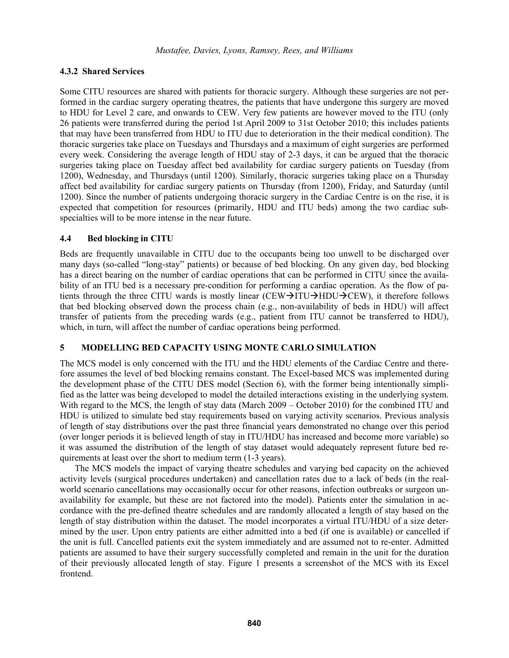# **4.3.2 Shared Services**

Some CITU resources are shared with patients for thoracic surgery. Although these surgeries are not performed in the cardiac surgery operating theatres, the patients that have undergone this surgery are moved to HDU for Level 2 care, and onwards to CEW. Very few patients are however moved to the ITU (only 26 patients were transferred during the period 1st April 2009 to 31st October 2010; this includes patients that may have been transferred from HDU to ITU due to deterioration in the their medical condition). The thoracic surgeries take place on Tuesdays and Thursdays and a maximum of eight surgeries are performed every week. Considering the average length of HDU stay of 2-3 days, it can be argued that the thoracic surgeries taking place on Tuesday affect bed availability for cardiac surgery patients on Tuesday (from 1200), Wednesday, and Thursdays (until 1200). Similarly, thoracic surgeries taking place on a Thursday affect bed availability for cardiac surgery patients on Thursday (from 1200), Friday, and Saturday (until 1200). Since the number of patients undergoing thoracic surgery in the Cardiac Centre is on the rise, it is expected that competition for resources (primarily, HDU and ITU beds) among the two cardiac subspecialties will to be more intense in the near future.

## **4.4 Bed blocking in CITU**

Beds are frequently unavailable in CITU due to the occupants being too unwell to be discharged over many days (so-called "long-stay" patients) or because of bed blocking. On any given day, bed blocking has a direct bearing on the number of cardiac operations that can be performed in CITU since the availability of an ITU bed is a necessary pre-condition for performing a cardiac operation. As the flow of patients through the three CITU wards is mostly linear (CEW $\rightarrow$ ITU $\rightarrow$ HDU $\rightarrow$ CEW), it therefore follows that bed blocking observed down the process chain (e.g., non-availability of beds in HDU) will affect transfer of patients from the preceding wards (e.g., patient from ITU cannot be transferred to HDU), which, in turn, will affect the number of cardiac operations being performed.

# **5 MODELLING BED CAPACITY USING MONTE CARLO SIMULATION**

The MCS model is only concerned with the ITU and the HDU elements of the Cardiac Centre and therefore assumes the level of bed blocking remains constant. The Excel-based MCS was implemented during the development phase of the CITU DES model (Section 6), with the former being intentionally simplified as the latter was being developed to model the detailed interactions existing in the underlying system. With regard to the MCS, the length of stay data (March 2009 – October 2010) for the combined ITU and HDU is utilized to simulate bed stay requirements based on varying activity scenarios. Previous analysis of length of stay distributions over the past three financial years demonstrated no change over this period (over longer periods it is believed length of stay in ITU/HDU has increased and become more variable) so it was assumed the distribution of the length of stay dataset would adequately represent future bed requirements at least over the short to medium term (1-3 years).

The MCS models the impact of varying theatre schedules and varying bed capacity on the achieved activity levels (surgical procedures undertaken) and cancellation rates due to a lack of beds (in the realworld scenario cancellations may occasionally occur for other reasons, infection outbreaks or surgeon unavailability for example, but these are not factored into the model). Patients enter the simulation in accordance with the pre-defined theatre schedules and are randomly allocated a length of stay based on the length of stay distribution within the dataset. The model incorporates a virtual ITU/HDU of a size determined by the user. Upon entry patients are either admitted into a bed (if one is available) or cancelled if the unit is full. Cancelled patients exit the system immediately and are assumed not to re-enter. Admitted patients are assumed to have their surgery successfully completed and remain in the unit for the duration of their previously allocated length of stay. Figure 1 presents a screenshot of the MCS with its Excel frontend.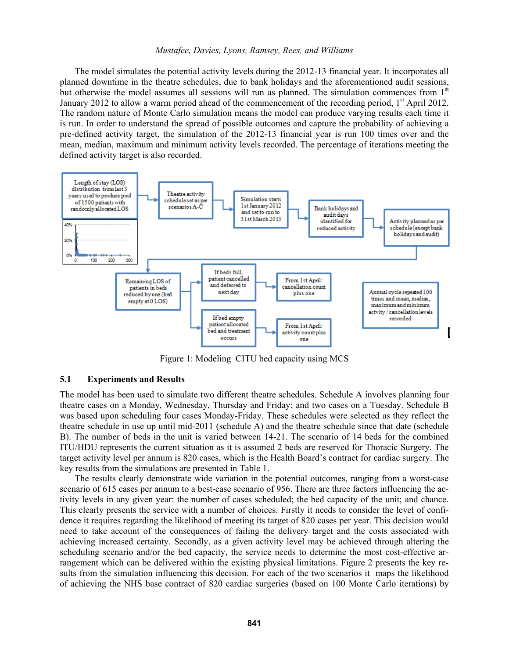The model simulates the potential activity levels during the 2012-13 financial year. It incorporates all planned downtime in the theatre schedules, due to bank holidays and the aforementioned audit sessions, but otherwise the model assumes all sessions will run as planned. The simulation commences from  $1<sup>st</sup>$ January 2012 to allow a warm period ahead of the commencement of the recording period,  $1<sup>st</sup>$  April 2012. The random nature of Monte Carlo simulation means the model can produce varying results each time it is run. In order to understand the spread of possible outcomes and capture the probability of achieving a pre-defined activity target, the simulation of the 2012-13 financial year is run 100 times over and the mean, median, maximum and minimum activity levels recorded. The percentage of iterations meeting the defined activity target is also recorded.



Figure 1: Modeling CITU bed capacity using MCS

### **5.1 Experiments and Results**

The model has been used to simulate two different theatre schedules. Schedule A involves planning four theatre cases on a Monday, Wednesday, Thursday and Friday; and two cases on a Tuesday. Schedule B was based upon scheduling four cases Monday-Friday. These schedules were selected as they reflect the theatre schedule in use up until mid-2011 (schedule A) and the theatre schedule since that date (schedule B). The number of beds in the unit is varied between 14-21. The scenario of 14 beds for the combined ITU/HDU represents the current situation as it is assumed 2 beds are reserved for Thoracic Surgery. The target activity level per annum is 820 cases, which is the Health Board's contract for cardiac surgery. The key results from the simulations are presented in Table 1.

The results clearly demonstrate wide variation in the potential outcomes, ranging from a worst-case scenario of 615 cases per annum to a best-case scenario of 956. There are three factors influencing the activity levels in any given year: the number of cases scheduled; the bed capacity of the unit; and chance. This clearly presents the service with a number of choices. Firstly it needs to consider the level of confidence it requires regarding the likelihood of meeting its target of 820 cases per year. This decision would need to take account of the consequences of failing the delivery target and the costs associated with achieving increased certainty. Secondly, as a given activity level may be achieved through altering the scheduling scenario and/or the bed capacity, the service needs to determine the most cost-effective arrangement which can be delivered within the existing physical limitations. Figure 2 presents the key results from the simulation influencing this decision. For each of the two scenarios it maps the likelihood of achieving the NHS base contract of 820 cardiac surgeries (based on 100 Monte Carlo iterations) by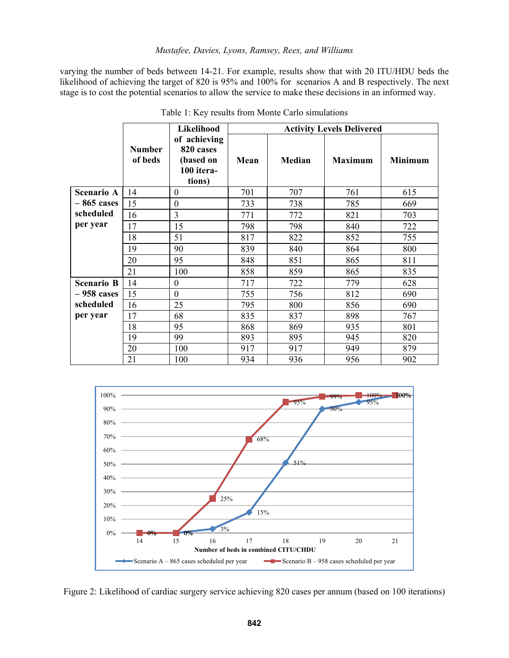varying the number of beds between 14-21. For example, results show that with 20 ITU/HDU beds the likelihood of achieving the target of 820 is 95% and 100% for scenarios A and B respectively. The next stage is to cost the potential scenarios to allow the service to make these decisions in an informed way.

|                   |                          | Likelihood                                                     | <b>Activity Levels Delivered</b> |        |                |                |
|-------------------|--------------------------|----------------------------------------------------------------|----------------------------------|--------|----------------|----------------|
|                   | <b>Number</b><br>of beds | of achieving<br>820 cases<br>(based on<br>100 itera-<br>tions) | Mean                             | Median | <b>Maximum</b> | <b>Minimum</b> |
| Scenario A        | 14                       | $\theta$                                                       | 701                              | 707    | 761            | 615            |
| $-865$ cases      | 15                       | $\boldsymbol{0}$                                               | 733                              | 738    | 785            | 669            |
| scheduled         | 16                       | 3                                                              | 771                              | 772    | 821            | 703            |
| per year          | 17                       | 15                                                             | 798                              | 798    | 840            | 722            |
|                   | 18                       | 51                                                             | 817                              | 822    | 852            | 755            |
|                   | 19                       | 90                                                             | 839                              | 840    | 864            | 800            |
|                   | 20                       | 95                                                             | 848                              | 851    | 865            | 811            |
|                   | 21                       | 100                                                            | 858                              | 859    | 865            | 835            |
| <b>Scenario B</b> | 14                       | $\boldsymbol{0}$                                               | 717                              | 722    | 779            | 628            |
| $-958$ cases      | 15                       | $\boldsymbol{0}$                                               | 755                              | 756    | 812            | 690            |
| scheduled         | 16                       | 25                                                             | 795                              | 800    | 856            | 690            |
| per year          | 17                       | 68                                                             | 835                              | 837    | 898            | 767            |
|                   | 18                       | 95                                                             | 868                              | 869    | 935            | 801            |
|                   | 19                       | 99                                                             | 893                              | 895    | 945            | 820            |
|                   | 20                       | 100                                                            | 917                              | 917    | 949            | 879            |
|                   | 21                       | 100                                                            | 934                              | 936    | 956            | 902            |

Table 1: Key results from Monte Carlo simulations



Figure 2: Likelihood of cardiac surgery service achieving 820 cases per annum (based on 100 iterations)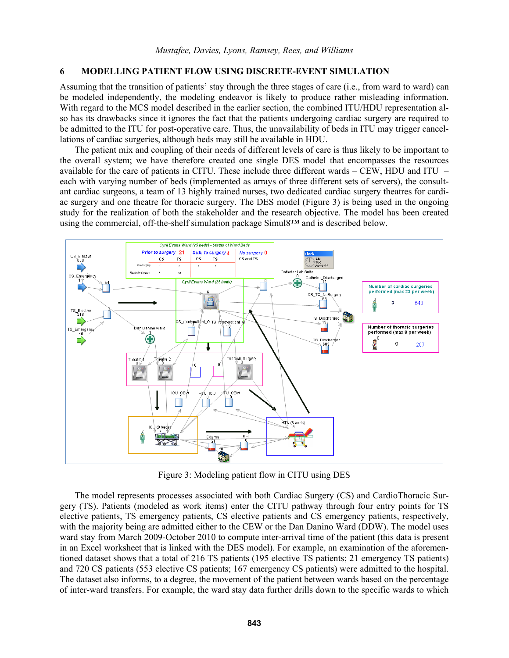#### **6 MODELLING PATIENT FLOW USING DISCRETE-EVENT SIMULATION**

Assuming that the transition of patients' stay through the three stages of care (i.e., from ward to ward) can be modeled independently, the modeling endeavor is likely to produce rather misleading information. With regard to the MCS model described in the earlier section, the combined ITU/HDU representation also has its drawbacks since it ignores the fact that the patients undergoing cardiac surgery are required to be admitted to the ITU for post-operative care. Thus, the unavailability of beds in ITU may trigger cancellations of cardiac surgeries, although beds may still be available in HDU.

The patient mix and coupling of their needs of different levels of care is thus likely to be important to the overall system; we have therefore created one single DES model that encompasses the resources available for the care of patients in CITU. These include three different wards – CEW, HDU and ITU – each with varying number of beds (implemented as arrays of three different sets of servers), the consultant cardiac surgeons, a team of 13 highly trained nurses, two dedicated cardiac surgery theatres for cardiac surgery and one theatre for thoracic surgery. The DES model (Figure 3) is being used in the ongoing study for the realization of both the stakeholder and the research objective. The model has been created using the commercial, off-the-shelf simulation package Simul8™ and is described below.



Figure 3: Modeling patient flow in CITU using DES

The model represents processes associated with both Cardiac Surgery (CS) and CardioThoracic Surgery (TS). Patients (modeled as work items) enter the CITU pathway through four entry points for TS elective patients, TS emergency patients, CS elective patients and CS emergency patients, respectively, with the majority being are admitted either to the CEW or the Dan Danino Ward (DDW). The model uses ward stay from March 2009-October 2010 to compute inter-arrival time of the patient (this data is present in an Excel worksheet that is linked with the DES model). For example, an examination of the aforementioned dataset shows that a total of 216 TS patients (195 elective TS patients; 21 emergency TS patients) and 720 CS patients (553 elective CS patients; 167 emergency CS patients) were admitted to the hospital. The dataset also informs, to a degree, the movement of the patient between wards based on the percentage of inter-ward transfers. For example, the ward stay data further drills down to the specific wards to which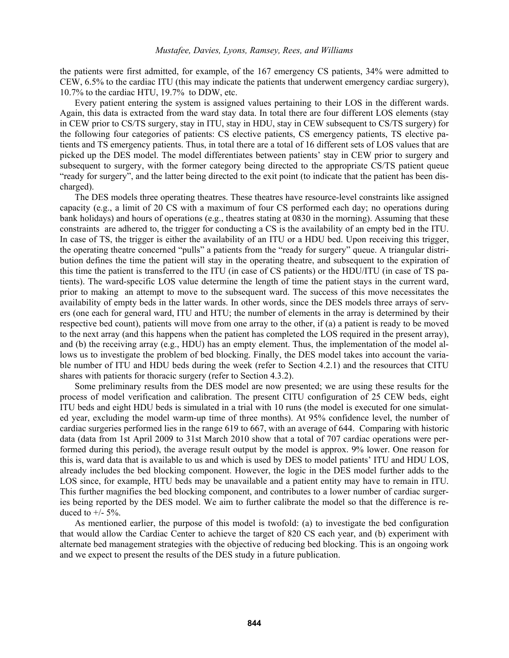the patients were first admitted, for example, of the 167 emergency CS patients, 34% were admitted to CEW, 6.5% to the cardiac ITU (this may indicate the patients that underwent emergency cardiac surgery), 10.7% to the cardiac HTU, 19.7% to DDW, etc.

Every patient entering the system is assigned values pertaining to their LOS in the different wards. Again, this data is extracted from the ward stay data. In total there are four different LOS elements (stay in CEW prior to CS/TS surgery, stay in ITU, stay in HDU, stay in CEW subsequent to CS/TS surgery) for the following four categories of patients: CS elective patients, CS emergency patients, TS elective patients and TS emergency patients. Thus, in total there are a total of 16 different sets of LOS values that are picked up the DES model. The model differentiates between patients' stay in CEW prior to surgery and subsequent to surgery, with the former category being directed to the appropriate CS/TS patient queue "ready for surgery", and the latter being directed to the exit point (to indicate that the patient has been discharged).

The DES models three operating theatres. These theatres have resource-level constraints like assigned capacity (e.g., a limit of 20 CS with a maximum of four CS performed each day; no operations during bank holidays) and hours of operations (e.g., theatres stating at 0830 in the morning). Assuming that these constraints are adhered to, the trigger for conducting a CS is the availability of an empty bed in the ITU. In case of TS, the trigger is either the availability of an ITU or a HDU bed. Upon receiving this trigger, the operating theatre concerned "pulls" a patients from the "ready for surgery" queue. A triangular distribution defines the time the patient will stay in the operating theatre, and subsequent to the expiration of this time the patient is transferred to the ITU (in case of CS patients) or the HDU/ITU (in case of TS patients). The ward-specific LOS value determine the length of time the patient stays in the current ward, prior to making an attempt to move to the subsequent ward. The success of this move necessitates the availability of empty beds in the latter wards. In other words, since the DES models three arrays of servers (one each for general ward, ITU and HTU; the number of elements in the array is determined by their respective bed count), patients will move from one array to the other, if (a) a patient is ready to be moved to the next array (and this happens when the patient has completed the LOS required in the present array), and (b) the receiving array (e.g., HDU) has an empty element. Thus, the implementation of the model allows us to investigate the problem of bed blocking. Finally, the DES model takes into account the variable number of ITU and HDU beds during the week (refer to Section 4.2.1) and the resources that CITU shares with patients for thoracic surgery (refer to Section 4.3.2).

Some preliminary results from the DES model are now presented; we are using these results for the process of model verification and calibration. The present CITU configuration of 25 CEW beds, eight ITU beds and eight HDU beds is simulated in a trial with 10 runs (the model is executed for one simulated year, excluding the model warm-up time of three months). At 95% confidence level, the number of cardiac surgeries performed lies in the range 619 to 667, with an average of 644. Comparing with historic data (data from 1st April 2009 to 31st March 2010 show that a total of 707 cardiac operations were performed during this period), the average result output by the model is approx. 9% lower. One reason for this is, ward data that is available to us and which is used by DES to model patients' ITU and HDU LOS, already includes the bed blocking component. However, the logic in the DES model further adds to the LOS since, for example, HTU beds may be unavailable and a patient entity may have to remain in ITU. This further magnifies the bed blocking component, and contributes to a lower number of cardiac surgeries being reported by the DES model. We aim to further calibrate the model so that the difference is reduced to  $+/- 5\%$ .

As mentioned earlier, the purpose of this model is twofold: (a) to investigate the bed configuration that would allow the Cardiac Center to achieve the target of 820 CS each year, and (b) experiment with alternate bed management strategies with the objective of reducing bed blocking. This is an ongoing work and we expect to present the results of the DES study in a future publication.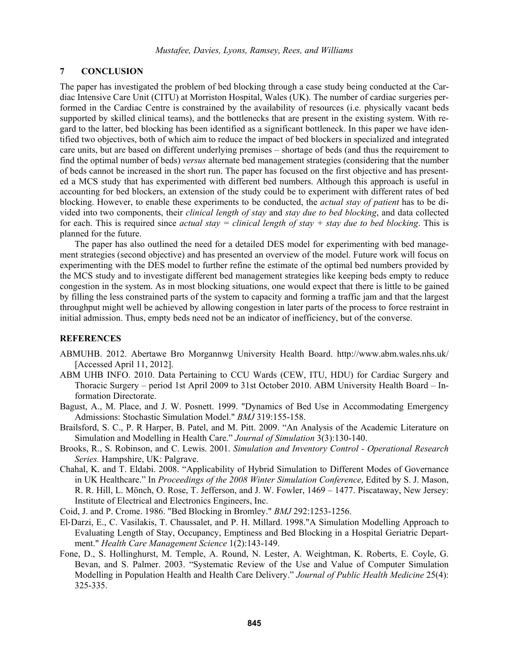## **7 CONCLUSION**

The paper has investigated the problem of bed blocking through a case study being conducted at the Cardiac Intensive Care Unit (CITU) at Morriston Hospital, Wales (UK). The number of cardiac surgeries performed in the Cardiac Centre is constrained by the availability of resources (i.e. physically vacant beds supported by skilled clinical teams), and the bottlenecks that are present in the existing system. With regard to the latter, bed blocking has been identified as a significant bottleneck. In this paper we have identified two objectives, both of which aim to reduce the impact of bed blockers in specialized and integrated care units, but are based on different underlying premises – shortage of beds (and thus the requirement to find the optimal number of beds) *versus* alternate bed management strategies (considering that the number of beds cannot be increased in the short run. The paper has focused on the first objective and has presented a MCS study that has experimented with different bed numbers. Although this approach is useful in accounting for bed blockers, an extension of the study could be to experiment with different rates of bed blocking. However, to enable these experiments to be conducted, the *actual stay of patient* has to be divided into two components, their *clinical length of stay* and *stay due to bed blocking*, and data collected for each. This is required since *actual stay = clinical length of stay + stay due to bed blocking*. This is planned for the future.

The paper has also outlined the need for a detailed DES model for experimenting with bed management strategies (second objective) and has presented an overview of the model. Future work will focus on experimenting with the DES model to further refine the estimate of the optimal bed numbers provided by the MCS study and to investigate different bed management strategies like keeping beds empty to reduce congestion in the system. As in most blocking situations, one would expect that there is little to be gained by filling the less constrained parts of the system to capacity and forming a traffic jam and that the largest throughput might well be achieved by allowing congestion in later parts of the process to force restraint in initial admission. Thus, empty beds need not be an indicator of inefficiency, but of the converse.

## **REFERENCES**

- ABMUHB. 2012. Abertawe Bro Morgannwg University Health Board. http://www.abm.wales.nhs.uk/ [Accessed April 11, 2012].
- ABM UHB INFO. 2010. Data Pertaining to CCU Wards (CEW, ITU, HDU) for Cardiac Surgery and Thoracic Surgery – period 1st April 2009 to 31st October 2010. ABM University Health Board – Information Directorate.
- Bagust, A., M. Place, and J. W. Posnett. 1999. "Dynamics of Bed Use in Accommodating Emergency Admissions: Stochastic Simulation Model." *BMJ* 319:155-158.
- Brailsford, S. C., P. R Harper, B. Patel, and M. Pitt. 2009. "An Analysis of the Academic Literature on Simulation and Modelling in Health Care." *Journal of Simulation* 3(3):130-140.
- Brooks, R., S. Robinson, and C. Lewis. 2001. *Simulation and Inventory Control Operational Research Series.* Hampshire, UK: Palgrave.
- Chahal, K. and T. Eldabi. 2008. "Applicability of Hybrid Simulation to Different Modes of Governance in UK Healthcare." In *Proceedings of the 2008 Winter Simulation Conference*, Edited by S. J. Mason, R. R. Hill, L. Mönch, O. Rose, T. Jefferson, and J. W. Fowler, 1469 – 1477. Piscataway, New Jersey: Institute of Electrical and Electronics Engineers, Inc.
- Coid, J. and P. Crome. 1986. "Bed Blocking in Bromley." *BMJ* 292:1253-1256.
- El‐Darzi, E., C. Vasilakis, T. Chaussalet, and P. H. Millard. 1998."A Simulation Modelling Approach to Evaluating Length of Stay, Occupancy, Emptiness and Bed Blocking in a Hospital Geriatric Department." *Health Care Management Science* 1(2):143-149.
- Fone, D., S. Hollinghurst, M. Temple, A. Round, N. Lester, A. Weightman, K. Roberts, E. Coyle, G. Bevan, and S. Palmer. 2003. "Systematic Review of the Use and Value of Computer Simulation Modelling in Population Health and Health Care Delivery." *Journal of Public Health Medicine* 25(4): 325-335.